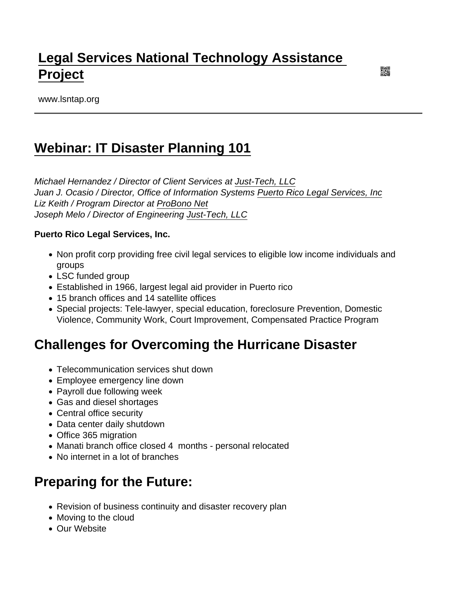# [Legal Services National Technology Assistance](https://www.lsntap.org/)  [Project](https://www.lsntap.org/)

www.lsntap.org

## [Webinar: IT Disaster Planning 101](https://www.lsntap.org/node/177/webinar-it-disaster-planning-101)

Michael Hernandez / Director of Client Services at [Just-Tech, LLC](http://www.just-tech.com/) Juan J. Ocasio / Director, Office of Information Systems [Puerto Rico Legal Services, Inc](https://www.probono.net/oppsguide/organization.135783-Puerto_Rico_Legal_Services_Inc) Liz Keith / Program Director at [ProBono Net](http://www.probono.net) Joseph Melo / Director of Engineering [Just-Tech, LLC](http://www.just-tech.com/)

Puerto Rico Legal Services, Inc.

- Non profit corp providing free civil legal services to eligible low income individuals and groups
- LSC funded group
- Established in 1966, largest legal aid provider in Puerto rico
- 15 branch offices and 14 satellite offices
- Special projects: Tele-lawyer, special education, foreclosure Prevention, Domestic Violence, Community Work, Court Improvement, Compensated Practice Program

## Challenges for Overcoming the Hurricane Disaster

- Telecommunication services shut down
- Employee emergency line down
- Payroll due following week
- Gas and diesel shortages
- Central office security
- Data center daily shutdown
- Office 365 migration
- Manati branch office closed 4 months personal relocated
- No internet in a lot of branches

## Preparing for the Future:

- Revision of business continuity and disaster recovery plan
- Moving to the cloud
- Our Website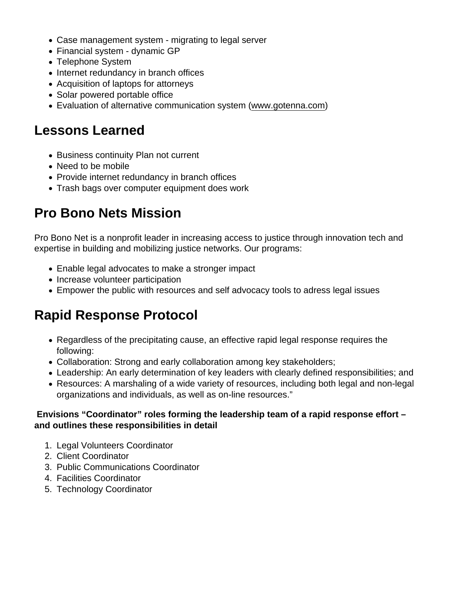- Case management system migrating to legal server
- Financial system dynamic GP
- Telephone System
- Internet redundancy in branch offices
- Acquisition of laptops for attorneys
- Solar powered portable office
- Evaluation of alternative communication system ([www.gotenna.com](http://www.gotenna.com))

#### Lessons Learned

- Business continuity Plan not current
- Need to be mobile
- Provide internet redundancy in branch offices
- Trash bags over computer equipment does work

# Pro Bono Nets Mission

Pro Bono Net is a nonprofit leader in increasing access to justice through innovation tech and expertise in building and mobilizing justice networks. Our programs:

- Enable legal advocates to make a stronger impact
- Increase volunteer participation
- Empower the public with resources and self advocacy tools to adress legal issues

## Rapid Response Protocol

- Regardless of the precipitating cause, an effective rapid legal response requires the following:
- Collaboration: Strong and early collaboration among key stakeholders;
- Leadership: An early determination of key leaders with clearly defined responsibilities; and
- Resources: A marshaling of a wide variety of resources, including both legal and non-legal organizations and individuals, as well as on-line resources."

 Envisions "Coordinator" roles forming the leadership team of a rapid response effort – and outlines these responsibilities in detail

- 1. Legal Volunteers Coordinator
- 2. Client Coordinator
- 3. Public Communications Coordinator
- 4. Facilities Coordinator
- 5. Technology Coordinator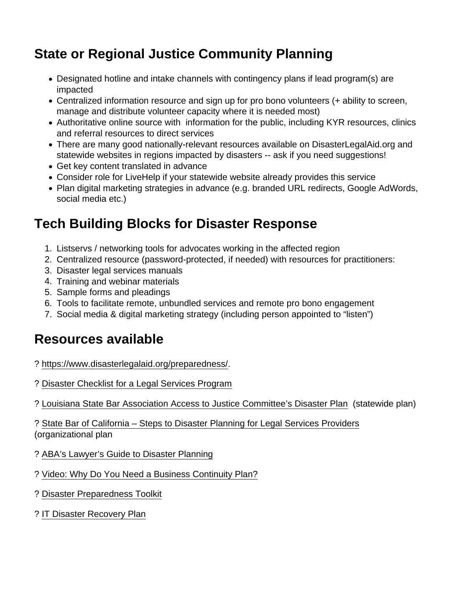# State or Regional Justice Community Planning

- Designated hotline and intake channels with contingency plans if lead program(s) are impacted
- Centralized information resource and sign up for pro bono volunteers (+ ability to screen, manage and distribute volunteer capacity where it is needed most)
- Authoritative online source with information for the public, including KYR resources, clinics and referral resources to direct services
- There are many good nationally-relevant resources available on DisasterLegalAid.org and statewide websites in regions impacted by disasters -- ask if you need suggestions!
- Get key content translated in advance
- Consider role for LiveHelp if your statewide website already provides this service
- Plan digital marketing strategies in advance (e.g. branded URL redirects, Google AdWords, social media etc.)

## Tech Building Blocks for Disaster Response

- 1. Listservs / networking tools for advocates working in the affected region
- 2. Centralized resource (password-protected, if needed) with resources for practitioners:
- 3. Disaster legal services manuals
- 4. Training and webinar materials
- 5. Sample forms and pleadings
- 6. Tools to facilitate remote, unbundled services and remote pro bono engagement
- 7. Social media & digital marketing strategy (including person appointed to "listen")

#### Resources available

- ?<https://www.disasterlegalaid.org/preparedness/>.
- ? [Disaster Checklist for a Legal Services Program](https://www.disasterlegalaid.org/legalaidstaff/item.5418-LSC_Program_Disaster_Checklist)

? [Louisiana State Bar Association Access to Justice Committee's Disaster Plan](http://files.lsba.org/documents/DR/ATJDisasterPlan.pdf) (statewide plan)

? [State Bar of California – Steps to Disaster Planning for Legal Services Providers](http://www.calbar.ca.gov/Portals/0/documents/accessJustice/Steps to Disaster Planning for Legal Services Providers_10 31 2012.pdf)  (organizational plan

- ? [ABA's Lawyer's Guide to Disaster Planning](https://www.americanbar.org/content/dam/aba/events/disaster/surviving_a_disaster_a_lawyers_guide_to_disaster_planning.authcheckdam.pdf)
- ? [Video: Why Do You Need a Business Continuity Plan?](https://centretechnologies.com/watch-video-need-business-continuity-plan/)
- ? [Disaster Preparedness Toolkit](http://disasterplaybook.org/resources/toolkits-and-tip-sheet/)
- ? [IT Disaster Recovery Plan](https://www.ready.gov/business/implementation/IT)